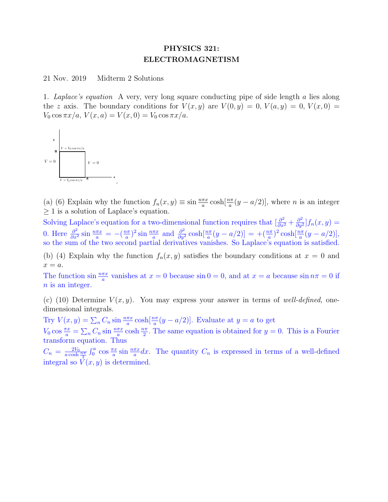## PHYSICS 321: ELECTROMAGNETISM

21 Nov. 2019 Midterm 2 Solutions

1. Laplace's equation A very, very long square conducting pipe of side length a lies along the z axis. The boundary conditions for  $V(x, y)$  are  $V(0, y) = 0$ ,  $V(a, y) = 0$ ,  $V(x, 0) =$  $V_0 \cos \pi x/a$ ,  $V(x, a) = V(x, 0) = V_0 \cos \pi x/a$ .



(a) (6) Explain why the function  $f_n(x, y) \equiv \sin \frac{n\pi x}{a} \cosh[\frac{n\pi}{a}(y - a/2)]$ , where *n* is an integer  $\geq 1$  is a solution of Laplace's equation.

Solving Laplace's equation for a two-dimensional function requires that  $\left[\frac{\partial^2}{\partial x^2} + \frac{\partial^2}{\partial y^2}\right]$  $\frac{\partial^2}{\partial y^2}$ ] $f_n(x,y) =$ 0. Here  $\frac{\partial^2}{\partial x^2} \sin \frac{n \pi x}{a} = -(\frac{n \pi}{a})$  $\frac{a\pi}{a}$ )<sup>2</sup> sin  $\frac{n\pi x}{a}$  and  $\frac{\partial^2}{\partial y^2}$  cosh $\left[\frac{n\pi}{a}(y-a/2)\right] = +\left(\frac{n\pi}{a}\right)^2$  cosh $\left[\frac{n\pi}{a}(y-a/2)\right]$ , so the sum of the two second partial derivatives vanishes. So Laplace's equation is satisfied.

(b) (4) Explain why the function  $f_n(x, y)$  satisfies the boundary conditions at  $x = 0$  and  $x = a.$ 

The function  $\sin \frac{n\pi x}{a}$  vanishes at  $x = 0$  because  $\sin 0 = 0$ , and at  $x = a$  because  $\sin n\pi = 0$  if n is an integer.

(c) (10) Determine  $V(x, y)$ . You may express your answer in terms of well-defined, onedimensional integrals.

Try  $V(x, y) = \sum_{n} C_n \sin \frac{n\pi x}{a} \cosh[\frac{n\pi}{a}(y - a/2)]$ . Evaluate at  $y = a$  to get

 $V_0 \cos \frac{\pi x}{a} = \sum_n C_n \sin \frac{n \pi x}{a} \cosh \frac{n \pi}{2}$ . The same equation is obtained for  $y = 0$ . This is a Fourier transform equation. Thus

 $C_n = \frac{2V_0}{a \cosh \frac{n\pi x}{2}} \int_0^a \cos \frac{\pi x}{a} \sin \frac{n\pi x}{a} dx$ . The quantity  $C_n$  is expressed in terms of a well-defined integral so  $V(x, y)$  is determined.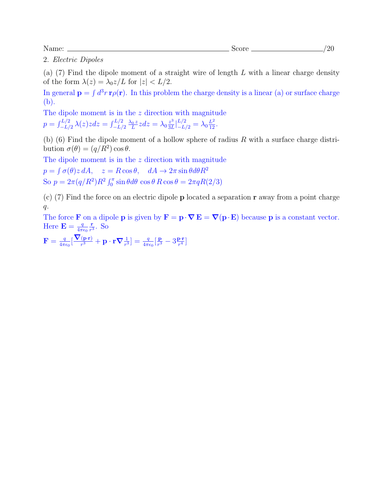2. Electric Dipoles

(a)  $(7)$  Find the dipole moment of a straight wire of length L with a linear charge density of the form  $\lambda(z) = \lambda_0 z / L$  for  $|z| < L/2$ .

In general  $\mathbf{p} = \int d^3r \, \mathbf{r} \rho(\mathbf{r})$ . In this problem the charge density is a linear (a) or surface charge (b).

The dipole moment is in the  $z$  direction with magnitude  $p=\int_{-L/2}^{L/2}\lambda(z)zdz=\int_{-L/2}^{L/2}\frac{\lambda_0\,z}{L}$  $\frac{0}{L}z dz = \lambda_0 \frac{z^3}{3L}$  $\frac{z^3}{3L}|_{-L/2}^{L/2} = \lambda_0 \frac{L^2}{12}.$ 

(b) (6) Find the dipole moment of a hollow sphere of radius  $R$  with a surface charge distribution  $\sigma(\theta) = (q/R^2) \cos \theta$ .

The dipole moment is in the z direction with magnitude

 $p = \int \sigma(\theta) z \, dA$ ,  $z = R \cos \theta$ ,  $dA \rightarrow 2\pi \sin \theta d\theta R^2$ So  $p = 2\pi (q/R^2)R^2 \int_0^{\pi} \sin \theta d\theta \cos \theta R \cos \theta = 2\pi q R(2/3)$ 

(c) (7) Find the force on an electric dipole p located a separation r away from a point charge  $q$ .

The force **F** on a dipole **p** is given by  $\mathbf{F} = \mathbf{p} \cdot \nabla \mathbf{E} = \nabla(\mathbf{p} \cdot \mathbf{E})$  because **p** is a constant vector. Here  $\mathbf{E} = \frac{q}{4\pi}$  $4\pi\epsilon_0$ r  $\frac{\mathbf{r}}{r^3}$ . So

 $\mathbf{F} = \frac{q}{4\pi d}$  $\frac{q}{4\pi\epsilon_0}[\frac{\boldsymbol{\nabla}(\mathbf{p}\cdot\mathbf{r})}{r^3} + \mathbf{p}\cdot\mathbf{r}\boldsymbol{\nabla}\frac{1}{r^3}] = \frac{q}{4\pi\epsilon_0}[\frac{\mathbf{p}}{r^3}]$  $\frac{\mathbf{p}}{r^3} - 3\frac{\mathbf{p}\cdot\mathbf{r}}{r^4}$  $\frac{\mathbf{p} \cdot \mathbf{r}}{r^4}$ ]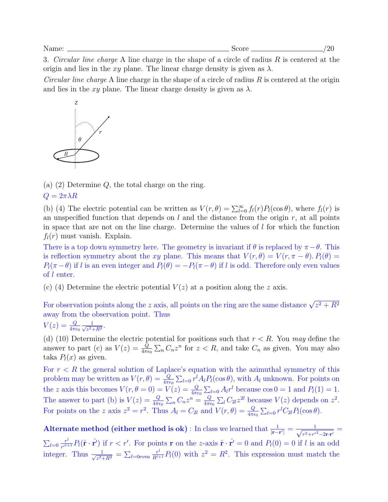3. Circular line charge A line charge in the shape of a circle of radius  $R$  is centered at the origin and lies in the xy plane. The linear charge density is given as  $\lambda$ .

*Circular line charge* A line charge in the shape of a circle of radius  $R$  is centered at the origin and lies in the xy plane. The linear charge density is given as  $\lambda$ .



(a) (2) Determine Q, the total charge on the ring.

 $Q = 2\pi \lambda R$ 

(b) (4) The electric potential can be written as  $V(r, \theta) = \sum_{l=0}^{\infty} f_l(r) P_l(\cos \theta)$ , where  $f_l(r)$  is an unspecified function that depends on  $l$  and the distance from the origin  $r$ , at all points in space that are not on the line charge. Determine the values of  $l$  for which the function  $f_l(r)$  must vanish. Explain.

There is a top down symmetry here. The geometry is invariant if  $\theta$  is replaced by  $\pi - \theta$ . This is reflection symmetry about the xy plane. This means that  $V(r, \theta) = V(r, \pi - \theta)$ .  $P_l(\theta) =$  $P_l(\pi - \theta)$  if l is an even integer and  $P_l(\theta) = -P_l(\pi - \theta)$  if l is odd. Therefore only even values of l enter.

(c) (4) Determine the electric potential  $V(z)$  at a position along the z axis.

For observation points along the z axis, all points on the ring are the same distance  $\sqrt{z^2 + R^2}$ away from the observation point. Thus

$$
V(z) = \frac{Q}{4\pi\epsilon_0} \frac{1}{\sqrt{z^2 + R^2}}.
$$

(d) (10) Determine the electric potential for positions such that  $r < R$ . You may define the answer to part (c) as  $V(z) = \frac{Q}{4\pi\epsilon_0} \sum_n C_n z^n$  for  $z < R$ , and take  $C_n$  as given. You may also taka  $P_l(x)$  as given.

For  $r < R$  the general solution of Laplace's equation with the azimuthal symmetry of this problem may be written as  $V(r, \theta) = \frac{Q}{4\pi\epsilon_0} \sum_{l=0} r^l A_l P_l(\cos\theta)$ , with  $A_l$  unknown. For points on the z axis this becomes  $V(r, \theta = 0) = V(z) = \frac{Q}{4\pi\epsilon_0} \sum_{l=0} A_l r^l$  because  $\cos 0 = 1$  and  $P_l(1) = 1$ . The answer to part (b) is  $V(z) = \frac{Q}{4\pi\epsilon_0} \sum_n C_n z^n = \frac{Q}{4\pi\epsilon_0}$  $\frac{Q}{4\pi\epsilon_0} \sum_l C_{2l} z^{2l}$  because  $V(z)$  depends on  $z^2$ . For points on the z axis  $z^2 = r^2$ . Thus  $A_l = C_{2l}$  and  $V(r, \theta) = \frac{Q}{4\pi\epsilon_0} \sum_{l=0} r^l C_{2l} P_l(\cos \theta)$ .

Alternate method (either method is ok) : In class we learned that  $\frac{1}{|\mathbf{r}-\mathbf{r}'|} = \frac{1}{\sqrt{x^2 + r'}}$  $\frac{1}{r^2+r^{\prime 2}-2\mathbf{r}\cdot \mathbf{r}^{\prime}}=% \frac{1}{\left( \frac{3}{4}\right) ^{2}+\left( \frac{3}{4}\right) ^{2}+\left( \frac{3}{4}\right) ^{2}}$  $\sum_{l=0}^{\ } \frac{r^l}{r^{\prime l+1}}$  $\frac{r^l}{r'^{l+1}}P_l(\hat{\mathbf{r}}\cdot\hat{\mathbf{r}'})$  if  $r < r'$ . For points **r** on the z-axis  $\hat{\mathbf{r}}\cdot\hat{\mathbf{r}'} = 0$  and  $P_l(0) = 0$  if l is an odd integer. Thus  $\frac{1}{\sqrt{2}}$  $\frac{1}{z^2+R^2} = \sum_{l=0 \text{even}} \frac{r^l}{R^{l+1}} P_l(0)$  with  $z^2 = R^2$ . This expression must match the